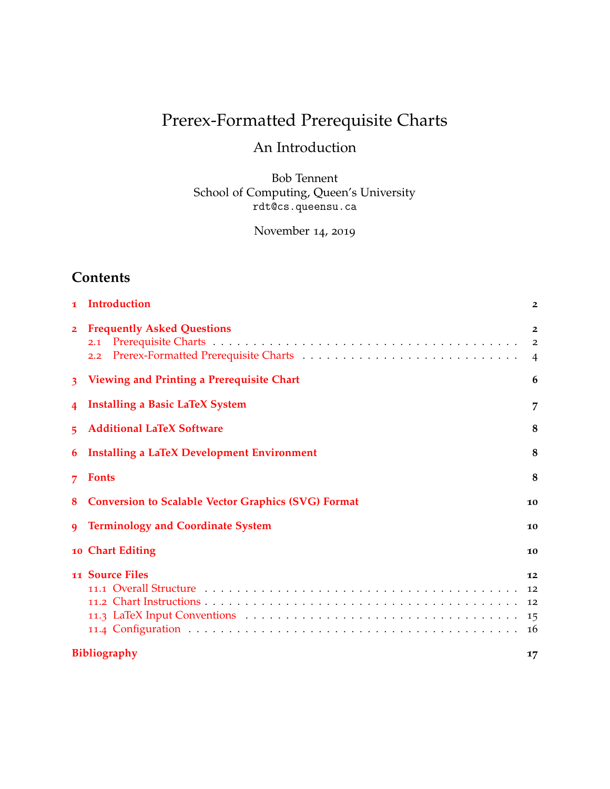# Prerex-Formatted Prerequisite Charts

# An Introduction

Bob Tennent School of Computing, Queen's University rdt@cs.queensu.ca

November 14, 2019

# **Contents**

| $\mathbf{I}$            | Introduction                                               | $\overline{2}$                                     |  |
|-------------------------|------------------------------------------------------------|----------------------------------------------------|--|
| $\overline{2}$          | <b>Frequently Asked Questions</b><br>2.1<br>2.2            | $\overline{2}$<br>$\overline{2}$<br>$\overline{4}$ |  |
| $\overline{\mathbf{3}}$ | Viewing and Printing a Prerequisite Chart                  | 6                                                  |  |
| 4                       | <b>Installing a Basic LaTeX System</b>                     | 7                                                  |  |
| 5                       | <b>Additional LaTeX Software</b>                           | 8                                                  |  |
| 6                       | <b>Installing a LaTeX Development Environment</b>          | 8                                                  |  |
| 7                       | <b>Fonts</b>                                               | 8                                                  |  |
| 8                       | <b>Conversion to Scalable Vector Graphics (SVG) Format</b> | 10                                                 |  |
| 9                       | <b>Terminology and Coordinate System</b>                   | 10                                                 |  |
|                         | 10 Chart Editing                                           | 10                                                 |  |
|                         | 11 Source Files                                            | 12                                                 |  |
|                         |                                                            | 12                                                 |  |
|                         |                                                            | 12                                                 |  |
|                         |                                                            | 15                                                 |  |
|                         |                                                            | 16                                                 |  |
|                         | <b>Bibliography</b><br>17                                  |                                                    |  |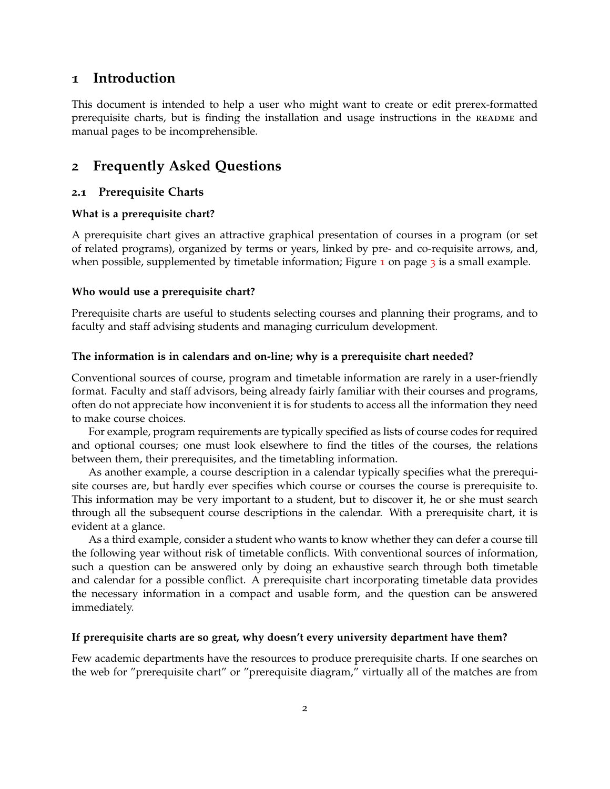# <span id="page-1-0"></span>**1 Introduction**

This document is intended to help a user who might want to create or edit prerex-formatted prerequisite charts, but is finding the installation and usage instructions in the README and manual pages to be incomprehensible.

# <span id="page-1-1"></span>**2 Frequently Asked Questions**

#### <span id="page-1-2"></span>**2.1 Prerequisite Charts**

#### **What is a prerequisite chart?**

A prerequisite chart gives an attractive graphical presentation of courses in a program (or set of related programs), organized by terms or years, linked by pre- and co-requisite arrows, and, when possible, supplemented by timetable information; Figure  $\frac{1}{2}$  $\frac{1}{2}$  $\frac{1}{2}$  on page  $\frac{1}{2}$  is a small example.

#### **Who would use a prerequisite chart?**

Prerequisite charts are useful to students selecting courses and planning their programs, and to faculty and staff advising students and managing curriculum development.

#### **The information is in calendars and on-line; why is a prerequisite chart needed?**

Conventional sources of course, program and timetable information are rarely in a user-friendly format. Faculty and staff advisors, being already fairly familiar with their courses and programs, often do not appreciate how inconvenient it is for students to access all the information they need to make course choices.

For example, program requirements are typically specified as lists of course codes for required and optional courses; one must look elsewhere to find the titles of the courses, the relations between them, their prerequisites, and the timetabling information.

As another example, a course description in a calendar typically specifies what the prerequisite courses are, but hardly ever specifies which course or courses the course is prerequisite to. This information may be very important to a student, but to discover it, he or she must search through all the subsequent course descriptions in the calendar. With a prerequisite chart, it is evident at a glance.

As a third example, consider a student who wants to know whether they can defer a course till the following year without risk of timetable conflicts. With conventional sources of information, such a question can be answered only by doing an exhaustive search through both timetable and calendar for a possible conflict. A prerequisite chart incorporating timetable data provides the necessary information in a compact and usable form, and the question can be answered immediately.

#### **If prerequisite charts are so great, why doesn't every university department have them?**

Few academic departments have the resources to produce prerequisite charts. If one searches on the web for "prerequisite chart" or "prerequisite diagram," virtually all of the matches are from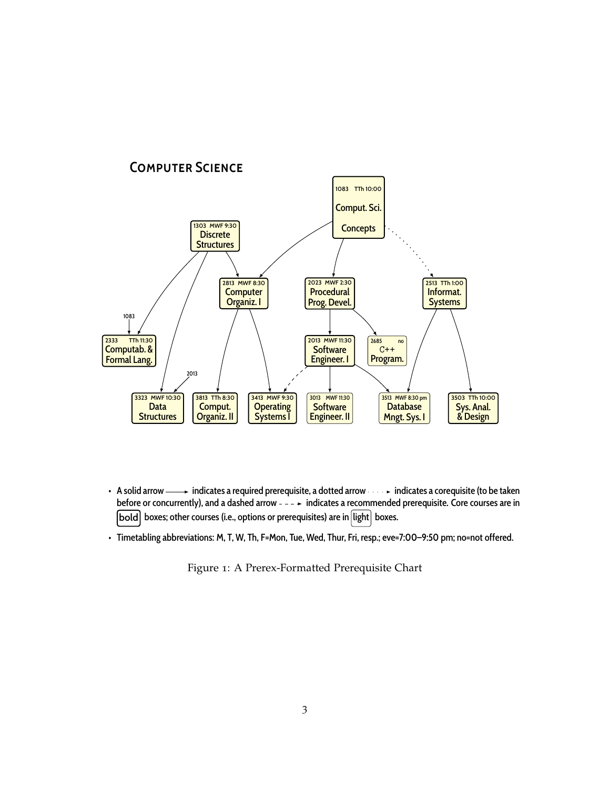

- A solid arrow  $\longrightarrow$  indicates a required prerequisite, a dotted arrow  $\longmapsto$  indicates a corequisite (to be taken before or concurrently), and a dashed arrow  $---+$  indicates a recommended prerequisite. Core courses are in [bold] boxes; other courses (i.e., options or prerequisites) are in light boxes.
- Timetabling abbreviations: M, T, W, Th, F=Mon, Tue, Wed, Thur, Fri, resp.; eve=7:00–9:50 pm; no=not offered.

<span id="page-2-0"></span>Figure 1: A Prerex-Formatted Prerequisite Chart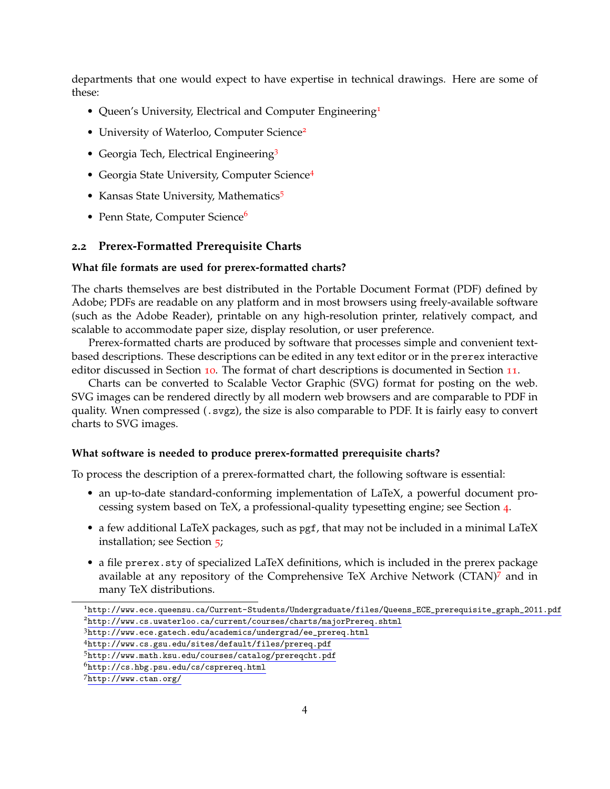departments that one would expect to have expertise in technical drawings. Here are some of these:

- Queen's University, Electrical and Computer Engineering<sup>[1](#page-3-1)</sup>
- University of Waterloo, Computer Science<sup>[2](#page-3-2)</sup>
- Georgia Tech, Electrical Engineering<sup>[3](#page-3-3)</sup>
- Georgia State University, Computer Science[4](#page-3-4)
- Kansas State University, Mathematics<sup>[5](#page-3-5)</sup>
- Penn State, Computer Science<sup>[6](#page-3-6)</sup>

#### <span id="page-3-0"></span>**2.2 Prerex-Formatted Prerequisite Charts**

#### **What file formats are used for prerex-formatted charts?**

The charts themselves are best distributed in the Portable Document Format (PDF) defined by Adobe; PDFs are readable on any platform and in most browsers using freely-available software (such as the Adobe Reader), printable on any high-resolution printer, relatively compact, and scalable to accommodate paper size, display resolution, or user preference.

Prerex-formatted charts are produced by software that processes simple and convenient textbased descriptions. These descriptions can be edited in any text editor or in the prerex interactive editor discussed in Section [10](#page-9-1). The format of chart descriptions is documented in Section [11](#page-10-0).

Charts can be converted to Scalable Vector Graphic (SVG) format for posting on the web. SVG images can be rendered directly by all modern web browsers and are comparable to PDF in quality. Wnen compressed (.svgz), the size is also comparable to PDF. It is fairly easy to convert charts to SVG images.

#### **What software is needed to produce prerex-formatted prerequisite charts?**

To process the description of a prerex-formatted chart, the following software is essential:

- an up-to-date standard-conforming implementation of LaTeX, a powerful document processing system based on TeX, a professional-quality typesetting engine; see Section [4](#page-6-0).
- a few additional LaTeX packages, such as pgf, that may not be included in a minimal LaTeX installation; see Section [5](#page-7-0);
- a file prerex.sty of specialized LaTeX definitions, which is included in the prerex package available at any repository of the Comprehensive TeX Archive Network (CTAN)[7](#page-3-7) and in many TeX distributions.

<span id="page-3-2"></span><span id="page-3-1"></span><sup>1</sup>[http://www.ece.queensu.ca/Current-Students/Undergraduate/files/Queens\\_ECE\\_prerequisite\\_graph\\_2011.pdf](http://www.ece.queensu.ca/Current-Students/Undergraduate/files/Queens_ECE_prerequisite_graph_2011.pdf) <sup>2</sup><http://www.cs.uwaterloo.ca/current/courses/charts/majorPrereq.shtml>

<span id="page-3-3"></span><sup>3</sup>[http://www.ece.gatech.edu/academics/undergrad/ee\\_prereq.html](http://www.ece.gatech.edu/academics/undergrad/ee_prereq.html)

<span id="page-3-4"></span><sup>4</sup><http://www.cs.gsu.edu/sites/default/files/prereq.pdf>

<span id="page-3-5"></span><sup>5</sup><http://www.math.ksu.edu/courses/catalog/prereqcht.pdf>

<span id="page-3-6"></span><sup>6</sup><http://cs.hbg.psu.edu/cs/csprereq.html>

<span id="page-3-7"></span><sup>7</sup><http://www.ctan.org/>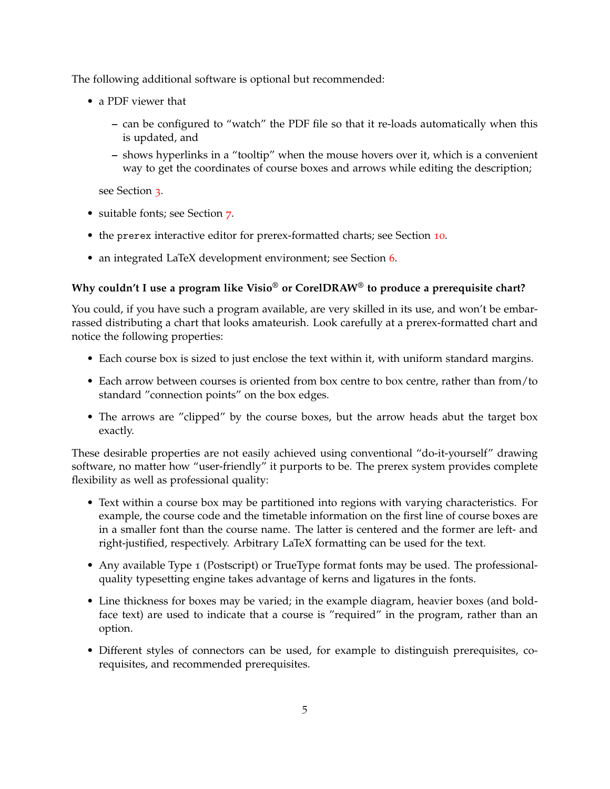The following additional software is optional but recommended:

- a PDF viewer that
	- **–** can be configured to "watch" the PDF file so that it re-loads automatically when this is updated, and
	- **–** shows hyperlinks in a "tooltip" when the mouse hovers over it, which is a convenient way to get the coordinates of course boxes and arrows while editing the description;

see Section [3](#page-5-0).

- suitable fonts; see Section [7](#page-7-2).
- the prerex interactive editor for prerex-formatted charts; see Section [10](#page-9-1).
- an integrated LaTeX development environment; see Section [6](#page-7-1).

## **Why couldn't I use a program like Visio® or CorelDRAW® to produce a prerequisite chart?**

You could, if you have such a program available, are very skilled in its use, and won't be embarrassed distributing a chart that looks amateurish. Look carefully at a prerex-formatted chart and notice the following properties:

- Each course box is sized to just enclose the text within it, with uniform standard margins.
- Each arrow between courses is oriented from box centre to box centre, rather than from/to standard "connection points" on the box edges.
- The arrows are "clipped" by the course boxes, but the arrow heads abut the target box exactly.

These desirable properties are not easily achieved using conventional "do-it-yourself" drawing software, no matter how "user-friendly" it purports to be. The prerex system provides complete flexibility as well as professional quality:

- Text within a course box may be partitioned into regions with varying characteristics. For example, the course code and the timetable information on the first line of course boxes are in a smaller font than the course name. The latter is centered and the former are left- and right-justified, respectively. Arbitrary LaTeX formatting can be used for the text.
- Any available Type 1 (Postscript) or TrueType format fonts may be used. The professionalquality typesetting engine takes advantage of kerns and ligatures in the fonts.
- Line thickness for boxes may be varied; in the example diagram, heavier boxes (and boldface text) are used to indicate that a course is "required" in the program, rather than an option.
- Different styles of connectors can be used, for example to distinguish prerequisites, corequisites, and recommended prerequisites.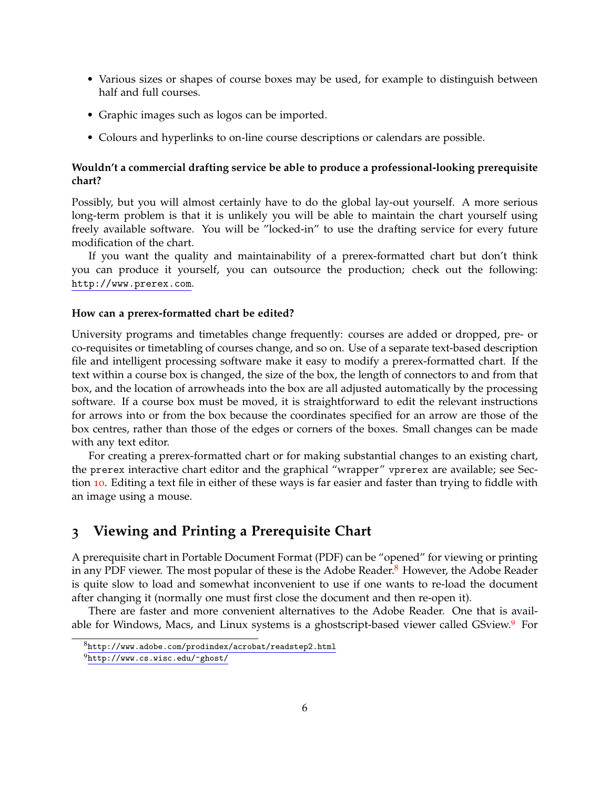- Various sizes or shapes of course boxes may be used, for example to distinguish between half and full courses.
- Graphic images such as logos can be imported.
- Colours and hyperlinks to on-line course descriptions or calendars are possible.

#### **Wouldn't a commercial drafting service be able to produce a professional-looking prerequisite chart?**

Possibly, but you will almost certainly have to do the global lay-out yourself. A more serious long-term problem is that it is unlikely you will be able to maintain the chart yourself using freely available software. You will be "locked-in" to use the drafting service for every future modification of the chart.

If you want the quality and maintainability of a prerex-formatted chart but don't think you can produce it yourself, you can outsource the production; check out the following: <http://www.prerex.com>.

#### **How can a prerex-formatted chart be edited?**

University programs and timetables change frequently: courses are added or dropped, pre- or co-requisites or timetabling of courses change, and so on. Use of a separate text-based description file and intelligent processing software make it easy to modify a prerex-formatted chart. If the text within a course box is changed, the size of the box, the length of connectors to and from that box, and the location of arrowheads into the box are all adjusted automatically by the processing software. If a course box must be moved, it is straightforward to edit the relevant instructions for arrows into or from the box because the coordinates specified for an arrow are those of the box centres, rather than those of the edges or corners of the boxes. Small changes can be made with any text editor.

For creating a prerex-formatted chart or for making substantial changes to an existing chart, the prerex interactive chart editor and the graphical "wrapper" vprerex are available; see Section [10](#page-9-1). Editing a text file in either of these ways is far easier and faster than trying to fiddle with an image using a mouse.

# <span id="page-5-0"></span>**3 Viewing and Printing a Prerequisite Chart**

A prerequisite chart in Portable Document Format (PDF) can be "opened" for viewing or printing in any PDF viewer. The most popular of these is the Adobe Reader.<sup>[8](#page-5-1)</sup> However, the Adobe Reader is quite slow to load and somewhat inconvenient to use if one wants to re-load the document after changing it (normally one must first close the document and then re-open it).

There are faster and more convenient alternatives to the Adobe Reader. One that is available for Windows, Macs, and Linux systems is a ghostscript-based viewer called GSview.[9](#page-5-2) For

<span id="page-5-1"></span> $8$ <http://www.adobe.com/prodindex/acrobat/readstep2.html>

<span id="page-5-2"></span><sup>9</sup><http://www.cs.wisc.edu/~ghost/>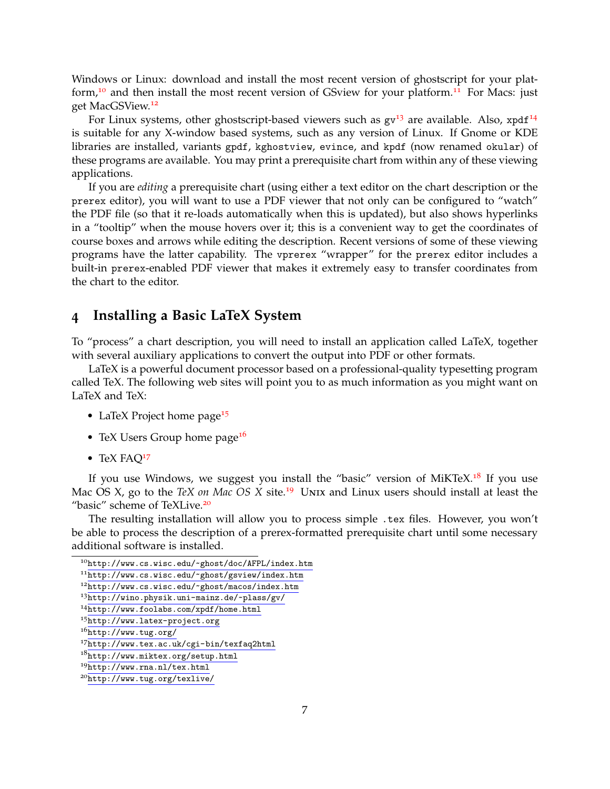Windows or Linux: download and install the most recent version of ghostscript for your plat-form,<sup>[10](#page-6-1)</sup> and then install the most recent version of GSview for your platform.<sup>[11](#page-6-2)</sup> For Macs: just get MacGSView.[12](#page-6-3)

For Linux systems, other ghostscript-based viewers such as  $gv<sup>13</sup>$  $gv<sup>13</sup>$  $gv<sup>13</sup>$  are available. Also, xpdf<sup>[14](#page-6-5)</sup> is suitable for any X-window based systems, such as any version of Linux. If Gnome or KDE libraries are installed, variants gpdf, kghostview, evince, and kpdf (now renamed okular) of these programs are available. You may print a prerequisite chart from within any of these viewing applications.

If you are *editing* a prerequisite chart (using either a text editor on the chart description or the prerex editor), you will want to use a PDF viewer that not only can be configured to "watch" the PDF file (so that it re-loads automatically when this is updated), but also shows hyperlinks in a "tooltip" when the mouse hovers over it; this is a convenient way to get the coordinates of course boxes and arrows while editing the description. Recent versions of some of these viewing programs have the latter capability. The vprerex "wrapper" for the prerex editor includes a built-in prerex-enabled PDF viewer that makes it extremely easy to transfer coordinates from the chart to the editor.

## <span id="page-6-0"></span>**4 Installing a Basic LaTeX System**

To "process" a chart description, you will need to install an application called LaTeX, together with several auxiliary applications to convert the output into PDF or other formats.

LaTeX is a powerful document processor based on a professional-quality typesetting program called TeX. The following web sites will point you to as much information as you might want on LaTeX and TeX:

- LaTeX Project home page<sup>[15](#page-6-6)</sup>
- TeX Users Group home page<sup>[16](#page-6-7)</sup>
- TeX FAQ<sup>[17](#page-6-8)</sup>

If you use Windows, we suggest you install the "basic" version of MiKTeX.<sup>[18](#page-6-9)</sup> If you use Mac OS X, go to the *TeX on Mac OS X* site.<sup>[19](#page-6-10)</sup> UNIX and Linux users should install at least the "basic" scheme of TeXLive.<sup>[20](#page-6-11)</sup>

The resulting installation will allow you to process simple .tex files. However, you won't be able to process the description of a prerex-formatted prerequisite chart until some necessary additional software is installed.

<span id="page-6-1"></span> $^{10}$ <http://www.cs.wisc.edu/~ghost/doc/AFPL/index.htm>

<span id="page-6-2"></span><sup>11</sup><http://www.cs.wisc.edu/~ghost/gsview/index.htm>

<span id="page-6-3"></span><sup>12</sup><http://www.cs.wisc.edu/~ghost/macos/index.htm>

<span id="page-6-4"></span><sup>13</sup><http://wino.physik.uni-mainz.de/~plass/gv/>

<span id="page-6-5"></span><sup>14</sup><http://www.foolabs.com/xpdf/home.html>

<span id="page-6-6"></span><sup>15</sup><http://www.latex-project.org>

<span id="page-6-7"></span><sup>16</sup><http://www.tug.org/>

<span id="page-6-8"></span><sup>17</sup><http://www.tex.ac.uk/cgi-bin/texfaq2html>

<span id="page-6-9"></span><sup>18</sup><http://www.miktex.org/setup.html>

<span id="page-6-10"></span><sup>19</sup><http://www.rna.nl/tex.html>

<span id="page-6-11"></span><sup>20</sup><http://www.tug.org/texlive/>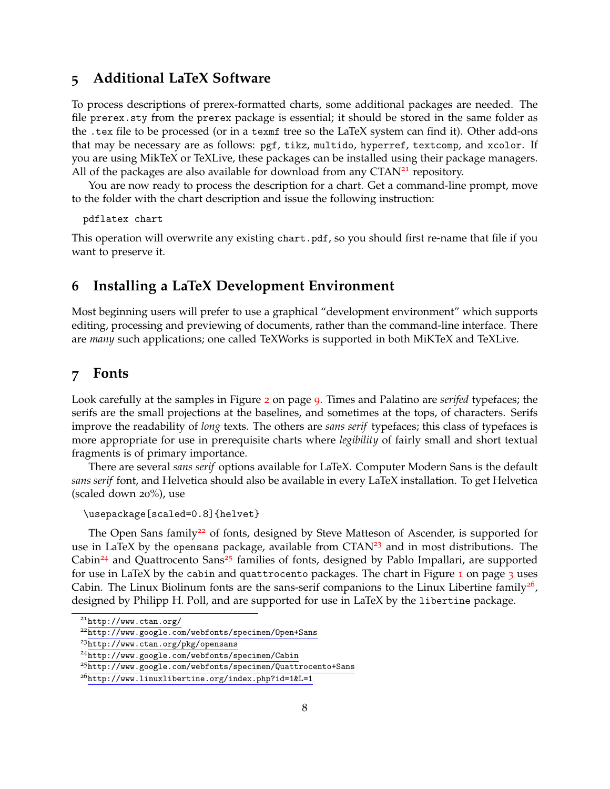# <span id="page-7-0"></span>**5 Additional LaTeX Software**

To process descriptions of prerex-formatted charts, some additional packages are needed. The file prerex.sty from the prerex package is essential; it should be stored in the same folder as the .tex file to be processed (or in a texmf tree so the LaTeX system can find it). Other add-ons that may be necessary are as follows: pgf, tikz, multido, hyperref, textcomp, and xcolor. If you are using MikTeX or TeXLive, these packages can be installed using their package managers. All of the packages are also available for download from any  $CTAN<sup>21</sup>$  $CTAN<sup>21</sup>$  $CTAN<sup>21</sup>$  repository.

You are now ready to process the description for a chart. Get a command-line prompt, move to the folder with the chart description and issue the following instruction:

pdflatex chart

This operation will overwrite any existing chart.pdf, so you should first re-name that file if you want to preserve it.

# <span id="page-7-1"></span>**6 Installing a LaTeX Development Environment**

Most beginning users will prefer to use a graphical "development environment" which supports editing, processing and previewing of documents, rather than the command-line interface. There are *many* such applications; one called TeXWorks is supported in both MiKTeX and TeXLive.

## <span id="page-7-2"></span>**7 Fonts**

Look carefully at the samples in Figure [2](#page-8-1) on page [9](#page-8-1). Times and Palatino are *serifed* typefaces; the serifs are the small projections at the baselines, and sometimes at the tops, of characters. Serifs improve the readability of *long* texts. The others are *sans serif* typefaces; this class of typefaces is more appropriate for use in prerequisite charts where *legibility* of fairly small and short textual fragments is of primary importance.

There are several *sans serif* options available for LaTeX. Computer Modern Sans is the default *sans serif* font, and Helvetica should also be available in every LaTeX installation. To get Helvetica (scaled down 20%), use

```
\usepackage[scaled=0.8]{helvet}
```
The Open Sans family<sup>[22](#page-7-4)</sup> of fonts, designed by Steve Matteson of Ascender, is supported for use in LaTeX by the opensans package, available from  $CTAN<sup>23</sup>$  $CTAN<sup>23</sup>$  $CTAN<sup>23</sup>$  and in most distributions. The Cabin<sup>[24](#page-7-6)</sup> and Quattrocento Sans<sup>[25](#page-7-7)</sup> families of fonts, designed by Pablo Impallari, are supported for use in LaTeX by the cabin and quattrocento packages. The chart in Figure [1](#page-2-0) on page [3](#page-2-0) uses Cabin. The Linux Biolinum fonts are the sans-serif companions to the Linux Libertine family<sup>[26](#page-7-8)</sup>, designed by Philipp H. Poll, and are supported for use in LaTeX by the libertine package.

<span id="page-7-3"></span><sup>21</sup><http://www.ctan.org/>

<span id="page-7-4"></span><sup>22</sup><http://www.google.com/webfonts/specimen/Open+Sans>

<span id="page-7-5"></span><sup>23</sup><http://www.ctan.org/pkg/opensans>

<span id="page-7-6"></span><sup>24</sup><http://www.google.com/webfonts/specimen/Cabin>

<span id="page-7-7"></span><sup>25</sup><http://www.google.com/webfonts/specimen/Quattrocento+Sans>

<span id="page-7-8"></span><sup>26</sup><http://www.linuxlibertine.org/index.php?id=1&L=1>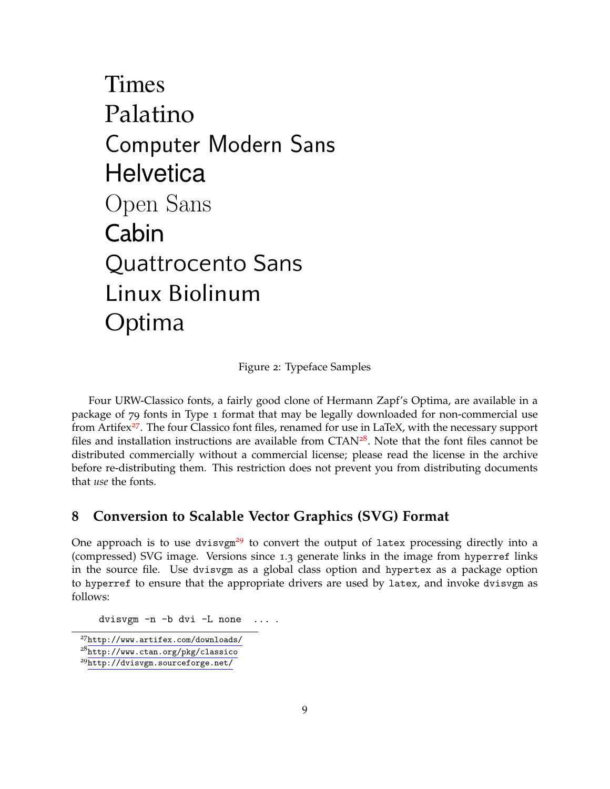# Times Palatino Computer Modern Sans **Helvetica** Open Sans Cabin Quattrocento Sans Linux Biolinum Optima

<span id="page-8-1"></span>Figure 2: Typeface Samples

Four URW-Classico fonts, a fairly good clone of Hermann Zapf's Optima, are available in a package of 79 fonts in Type 1 format that may be legally downloaded for non-commercial use from Artifex<sup>[27](#page-8-2)</sup>. The four Classico font files, renamed for use in LaTeX, with the necessary support files and installation instructions are available from  $CTAN<sup>28</sup>$  $CTAN<sup>28</sup>$  $CTAN<sup>28</sup>$ . Note that the font files cannot be distributed commercially without a commercial license; please read the license in the archive before re-distributing them. This restriction does not prevent you from distributing documents that *use* the fonts.

# <span id="page-8-0"></span>**8 Conversion to Scalable Vector Graphics (SVG) Format**

One approach is to use dvisvgm<sup>[29](#page-8-4)</sup> to convert the output of latex processing directly into a (compressed) SVG image. Versions since 1.3 generate links in the image from hyperref links in the source file. Use dvisvgm as a global class option and hypertex as a package option to hyperref to ensure that the appropriate drivers are used by latex, and invoke dvisvgm as follows:

dvisvgm -n -b dvi -L none ... .

<span id="page-8-2"></span><sup>27</sup><http://www.artifex.com/downloads/>

<span id="page-8-3"></span><sup>28</sup><http://www.ctan.org/pkg/classico>

<span id="page-8-4"></span><sup>29</sup><http://dvisvgm.sourceforge.net/>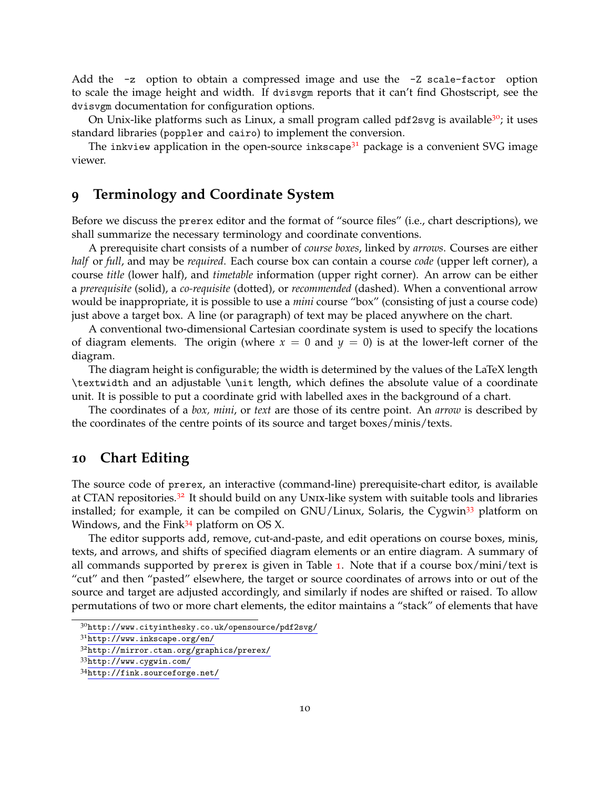Add the -z option to obtain a compressed image and use the -Z scale-factor option to scale the image height and width. If dvisvgm reports that it can't find Ghostscript, see the dvisvgm documentation for configuration options.

On Unix-like platforms such as Linux, a small program called pdf2svg is available<sup>[30](#page-9-2)</sup>; it uses standard libraries (poppler and cairo) to implement the conversion.

The inkview application in the open-source inkscape<sup>[31](#page-9-3)</sup> package is a convenient SVG image viewer.

## <span id="page-9-0"></span>**9 Terminology and Coordinate System**

Before we discuss the prerex editor and the format of "source files" (i.e., chart descriptions), we shall summarize the necessary terminology and coordinate conventions.

A prerequisite chart consists of a number of *course boxes*, linked by *arrows*. Courses are either *half* or *full*, and may be *required*. Each course box can contain a course *code* (upper left corner), a course *title* (lower half), and *timetable* information (upper right corner). An arrow can be either a *prerequisite* (solid), a *co-requisite* (dotted), or *recommended* (dashed). When a conventional arrow would be inappropriate, it is possible to use a *mini* course "box" (consisting of just a course code) just above a target box. A line (or paragraph) of text may be placed anywhere on the chart.

A conventional two-dimensional Cartesian coordinate system is used to specify the locations of diagram elements. The origin (where  $x = 0$  and  $y = 0$ ) is at the lower-left corner of the diagram.

The diagram height is configurable; the width is determined by the values of the LaTeX length \textwidth and an adjustable \unit length, which defines the absolute value of a coordinate unit. It is possible to put a coordinate grid with labelled axes in the background of a chart.

The coordinates of a *box, mini*, or *text* are those of its centre point. An *arrow* is described by the coordinates of the centre points of its source and target boxes/minis/texts.

### <span id="page-9-1"></span>**10 Chart Editing**

The source code of prerex, an interactive (command-line) prerequisite-chart editor, is available at CTAN repositories.<sup>[32](#page-9-4)</sup> It should build on any UNIX-like system with suitable tools and libraries installed; for example, it can be compiled on  $GNU/Linux$ , Solaris, the Cygwin<sup>[33](#page-9-5)</sup> platform on Windows, and the Fink $34$  platform on OS X.

The editor supports add, remove, cut-and-paste, and edit operations on course boxes, minis, texts, and arrows, and shifts of specified diagram elements or an entire diagram. A summary of all commands supported by prerex is given in Table  $1$ . Note that if a course box/mini/text is "cut" and then "pasted" elsewhere, the target or source coordinates of arrows into or out of the source and target are adjusted accordingly, and similarly if nodes are shifted or raised. To allow permutations of two or more chart elements, the editor maintains a "stack" of elements that have

<span id="page-9-2"></span><sup>30</sup><http://www.cityinthesky.co.uk/opensource/pdf2svg/>

<span id="page-9-3"></span><sup>31</sup><http://www.inkscape.org/en/>

<span id="page-9-4"></span><sup>32</sup><http://mirror.ctan.org/graphics/prerex/>

<span id="page-9-5"></span><sup>33</sup><http://www.cygwin.com/>

<span id="page-9-6"></span><sup>34</sup><http://fink.sourceforge.net/>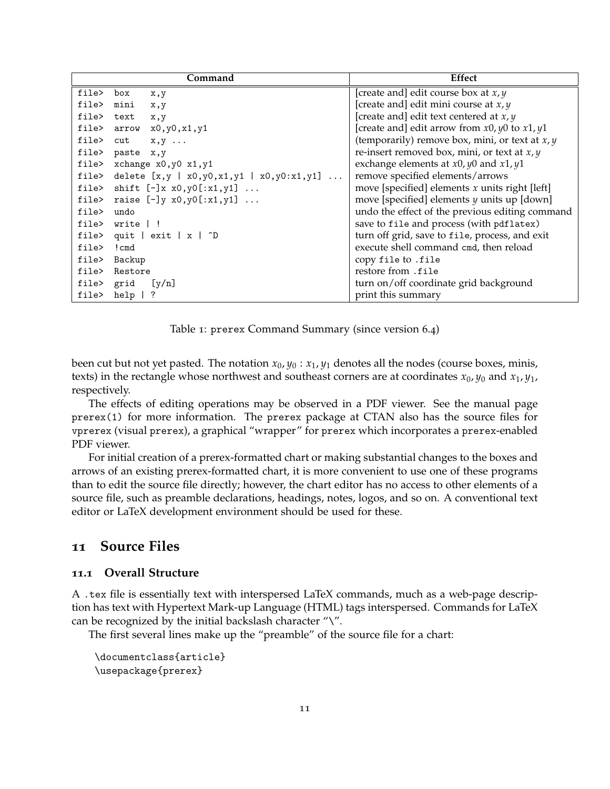| Command    |                                                          | Effect                                            |
|------------|----------------------------------------------------------|---------------------------------------------------|
| file> box  | x,y                                                      | [create and] edit course box at $x, y$            |
| file>      | mini<br>x,y                                              | [create and] edit mini course at $x, y$           |
| file> text | x,y                                                      | [create and] edit text centered at $x, y$         |
|            | file> arrow x0, y0, x1, y1                               | [create and] edit arrow from $x0, y0$ to $x1, y1$ |
|            | file> $cut$ $x, y$                                       | (temporarily) remove box, mini, or text at $x, y$ |
|            | file> paste x,y                                          | re-insert removed box, mini, or text at $x, y$    |
|            | file> xchange x0,y0 x1,y1                                | exchange elements at $x0, y0$ and $x1, y1$        |
|            | file> delete $[x, y   x0, y0, x1, y1   x0, y0: x1, y1] $ | remove specified elements/arrows                  |
|            | file> shift $[-]x x0,y0[:x1,y1] $                        | move [specified] elements $x$ units right [left]  |
|            | file> raise $[-]$ y x0,y0 $[:x1, y1]$                    | move [specified] elements $y$ units up [down]     |
| file> undo |                                                          | undo the effect of the previous editing command   |
|            | file> write   !                                          | save to file and process (with pdflatex)          |
|            | file> quit $\vert$ exit $\vert x \vert$ ^D               | turn off grid, save to file, process, and exit    |
| file>      | ! cmd                                                    | execute shell command cmd, then reload            |
|            | file> Backup                                             | copy file to .file                                |
|            | file> Restore                                            | restore from .file                                |
|            | file> grid [y/n]                                         | turn on/off coordinate grid background            |
| file>      | $help$   ?                                               | print this summary                                |

<span id="page-10-2"></span>Table 1: prerex Command Summary (since version 6.4)

been cut but not yet pasted. The notation  $x_0, y_0 : x_1, y_1$  denotes all the nodes (course boxes, minis, texts) in the rectangle whose northwest and southeast corners are at coordinates  $x_0$ ,  $y_0$  and  $x_1$ ,  $y_1$ , respectively.

The effects of editing operations may be observed in a PDF viewer. See the manual page prerex(1) for more information. The prerex package at CTAN also has the source files for vprerex (visual prerex), a graphical "wrapper" for prerex which incorporates a prerex-enabled PDF viewer.

For initial creation of a prerex-formatted chart or making substantial changes to the boxes and arrows of an existing prerex-formatted chart, it is more convenient to use one of these programs than to edit the source file directly; however, the chart editor has no access to other elements of a source file, such as preamble declarations, headings, notes, logos, and so on. A conventional text editor or LaTeX development environment should be used for these.

# <span id="page-10-0"></span>**11 Source Files**

#### <span id="page-10-1"></span>**11.1 Overall Structure**

A .tex file is essentially text with interspersed LaTeX commands, much as a web-page description has text with Hypertext Mark-up Language (HTML) tags interspersed. Commands for LaTeX can be recognized by the initial backslash character " $\Upsilon$ ".

The first several lines make up the "preamble" of the source file for a chart:

```
\documentclass{article}
\usepackage{prerex}
```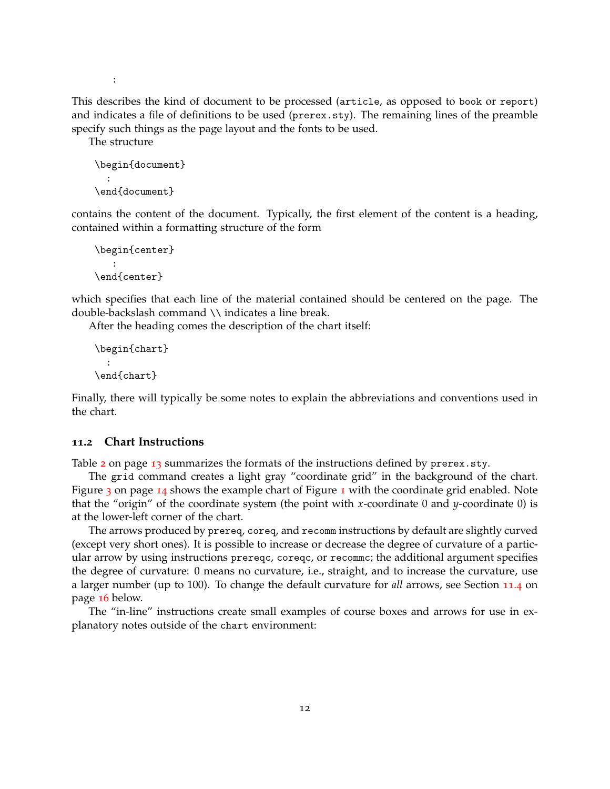:

This describes the kind of document to be processed (article, as opposed to book or report) and indicates a file of definitions to be used (prerex.sty). The remaining lines of the preamble specify such things as the page layout and the fonts to be used.

The structure

```
\begin{document}
  :
\end{document}
```
contains the content of the document. Typically, the first element of the content is a heading, contained within a formatting structure of the form

```
\begin{center}
   :
\end{center}
```
which specifies that each line of the material contained should be centered on the page. The double-backslash command \\ indicates a line break.

After the heading comes the description of the chart itself:

```
\begin{chart}
  :
\end{chart}
```
Finally, there will typically be some notes to explain the abbreviations and conventions used in the chart.

#### <span id="page-11-0"></span>**11.2 Chart Instructions**

Table  $2$  on page [13](#page-12-0) summarizes the formats of the instructions defined by prerex.sty.

The grid command creates a light gray "coordinate grid" in the background of the chart. Figure [3](#page-13-0) on page [14](#page-13-0) shows the example chart of Figure [1](#page-2-0) with the coordinate grid enabled. Note that the "origin" of the coordinate system (the point with *x*-coordinate 0 and *y*-coordinate 0) is at the lower-left corner of the chart.

The arrows produced by prereq, coreq, and recomm instructions by default are slightly curved (except very short ones). It is possible to increase or decrease the degree of curvature of a particular arrow by using instructions prereqc, coreqc, or recommc; the additional argument specifies the degree of curvature: 0 means no curvature, i.e., straight, and to increase the curvature, use a larger number (up to 100). To change the default curvature for *all* arrows, see Section [11](#page-14-1).4 on page [16](#page-14-1) below.

The "in-line" instructions create small examples of course boxes and arrows for use in explanatory notes outside of the chart environment: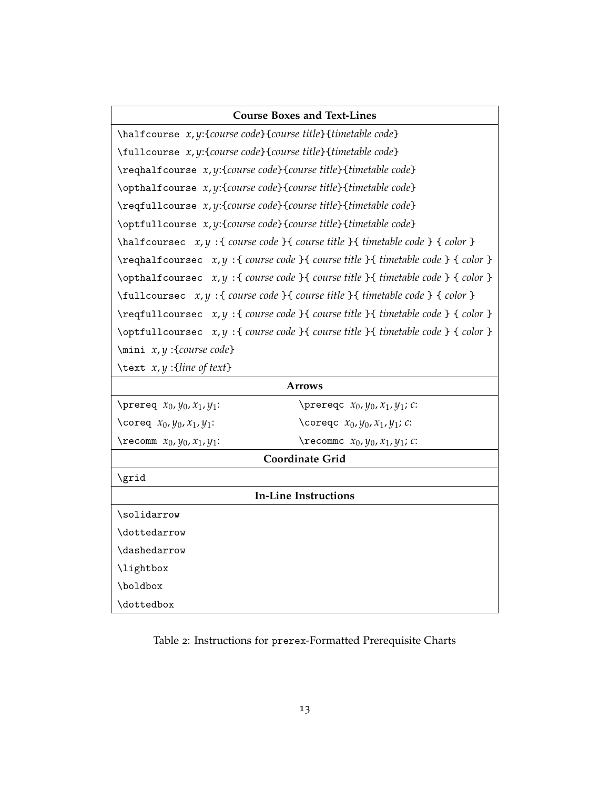| <b>Course Boxes and Text-Lines</b>                                                                               |  |  |  |  |
|------------------------------------------------------------------------------------------------------------------|--|--|--|--|
| \halfcourse x, y:{course code}{course title}{timetable code}                                                     |  |  |  |  |
| \fullcourse x, y:{course code}{course title}{timetable code}                                                     |  |  |  |  |
| \reqhalfcourse x, y:{course code}{course title}{timetable code}                                                  |  |  |  |  |
| \opthalfcourse x, y:{course code}{course title}{timetable code}                                                  |  |  |  |  |
| \reqfullcourse x, y:{course code}{course title}{timetable code}                                                  |  |  |  |  |
| \optfullcourse x, y:{course code}{course title}{timetable code}                                                  |  |  |  |  |
| $\hbar$ \halfcoursec x, y: { course code } { course title } { timetable code } { color }                         |  |  |  |  |
| $\text{X}{\text{real}}$ $x, y : \text{course code } \text{times} \text{ time}$ $\text{table code } \text{color}$ |  |  |  |  |
| \opthalfcoursec x, y: { course code } { course title } { timetable code } { color }                              |  |  |  |  |
| $\tilde{z}$ \fullcoursec $x, y$ : { course code } { course title } { timetable code } { color }                  |  |  |  |  |
| $\ref{u11course} x,y : \{ course code \} \{ course title \} \{ timetable code \} \{ color \}$                    |  |  |  |  |
| \optfullcoursec x, y : { course code } { course title } { timetable code } { color }                             |  |  |  |  |
| $\min x, y$ : {course code}                                                                                      |  |  |  |  |

\text *x*, *y* :{*line of text*}

| <b>Arrows</b>                           |                                                |  |  |  |  |
|-----------------------------------------|------------------------------------------------|--|--|--|--|
| \prereq $x_0$ , $y_0$ , $x_1$ , $y_1$ : | \prereqc $x_0$ , $y_0$ , $x_1$ , $y_1$ ; $c$ : |  |  |  |  |
| \coreq $x_0$ , $y_0$ , $x_1$ , $y_1$ :  | \coreqc $x_0$ , $y_0$ , $x_1$ , $y_1$ ; $c$ :  |  |  |  |  |
| $\text{tree}$ $x_0, y_0, x_1, y_1$ :    | \recommc $x_0$ , $y_0$ , $x_1$ , $y_1$ ; $c$ : |  |  |  |  |
| <b>Coordinate Grid</b>                  |                                                |  |  |  |  |
| \grid                                   |                                                |  |  |  |  |
| In-Line Instructions                    |                                                |  |  |  |  |
| \solidarrow                             |                                                |  |  |  |  |
| \dottedarrow                            |                                                |  |  |  |  |
| <b>\dashedarrow</b>                     |                                                |  |  |  |  |
| \lightbox                               |                                                |  |  |  |  |
| \boldbox                                |                                                |  |  |  |  |
| \dottedbox                              |                                                |  |  |  |  |

# <span id="page-12-0"></span>Table 2: Instructions for prerex-Formatted Prerequisite Charts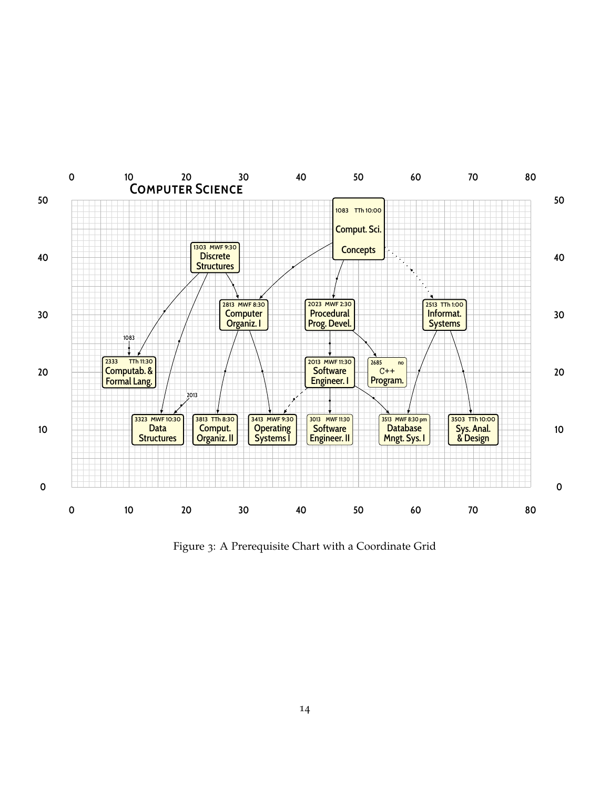

<span id="page-13-0"></span>Figure 3: A Prerequisite Chart with a Coordinate Grid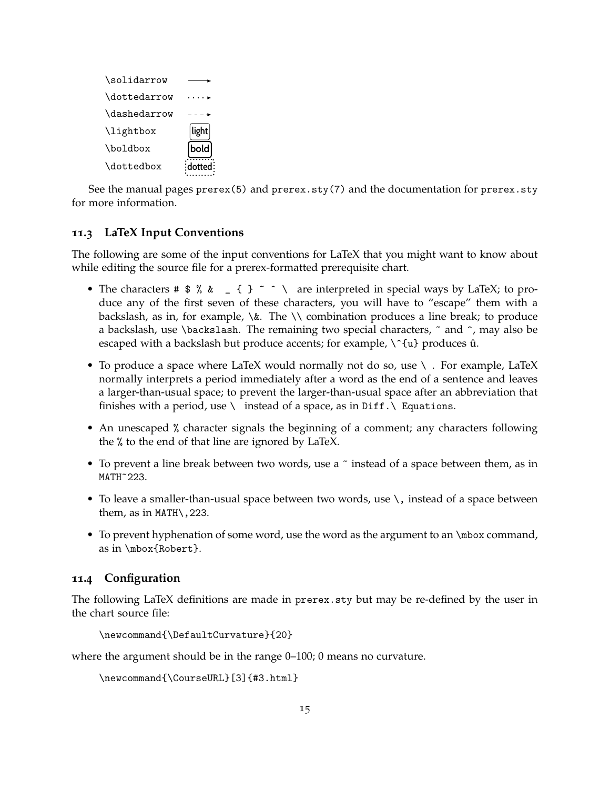| \solidarrow  |       |
|--------------|-------|
| \dottedarrow |       |
| \dashedarrow |       |
| \lightbox    | light |
| \boldbox     | bold  |
| \dottedbox   |       |

See the manual pages prerex(5) and prerex.sty(7) and the documentation for prerex.sty for more information.

#### <span id="page-14-0"></span>**11.3 LaTeX Input Conventions**

The following are some of the input conventions for LaTeX that you might want to know about while editing the source file for a prerex-formatted prerequisite chart.

- The characters #  $\frac{1}{2}$  % &  $\frac{1}{2}$  { } ~ ^ \ are interpreted in special ways by LaTeX; to produce any of the first seven of these characters, you will have to "escape" them with a backslash, as in, for example,  $\&$ . The  $\setminus \$  combination produces a line break; to produce a backslash, use \backslash. The remaining two special characters,  $\tilde{ }$  and  $\tilde{ }$ , may also be escaped with a backslash but produce accents; for example,  $\hat{\ }$   $\hat{\ }$  u} produces  $\hat{u}$ .
- To produce a space where LaTeX would normally not do so, use  $\setminus$ . For example, LaTeX normally interprets a period immediately after a word as the end of a sentence and leaves a larger-than-usual space; to prevent the larger-than-usual space after an abbreviation that finishes with a period, use  $\setminus$  instead of a space, as in Diff.  $\setminus$  Equations.
- An unescaped % character signals the beginning of a comment; any characters following the % to the end of that line are ignored by LaTeX.
- To prevent a line break between two words, use a  $\tilde{ }$  instead of a space between them, as in MATH~223.
- To leave a smaller-than-usual space between two words, use \, instead of a space between them, as in MATH\,223.
- To prevent hyphenation of some word, use the word as the argument to an \mbox command, as in \mbox{Robert}.

#### <span id="page-14-1"></span>**11.4 Configuration**

The following LaTeX definitions are made in prerex.sty but may be re-defined by the user in the chart source file:

```
\newcommand{\DefaultCurvature}{20}
```
where the argument should be in the range 0–100; 0 means no curvature.

```
\newcommand{\CourseURL}[3]{#3.html}
```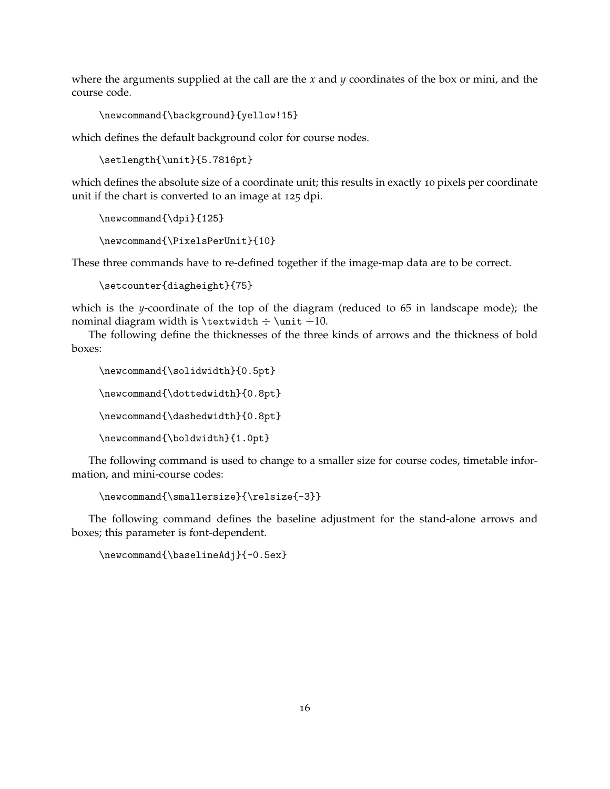where the arguments supplied at the call are the *x* and *y* coordinates of the box or mini, and the course code.

```
\newcommand{\background}{yellow!15}
```
which defines the default background color for course nodes.

```
\setlength{\unit}{5.7816pt}
```
which defines the absolute size of a coordinate unit; this results in exactly 10 pixels per coordinate unit if the chart is converted to an image at 125 dpi.

```
\newcommand{\dpi}{125}
\newcommand{\PixelsPerUnit}{10}
```
These three commands have to re-defined together if the image-map data are to be correct.

```
\setcounter{diagheight}{75}
```
which is the *y*-coordinate of the top of the diagram (reduced to 65 in landscape mode); the nominal diagram width is  $\text{t} + \unit +10$ .

The following define the thicknesses of the three kinds of arrows and the thickness of bold boxes:

```
\newcommand{\solidwidth}{0.5pt}
\newcommand{\dottedwidth}{0.8pt}
\newcommand{\dashedwidth}{0.8pt}
\newcommand{\boldwidth}{1.0pt}
```
The following command is used to change to a smaller size for course codes, timetable information, and mini-course codes:

```
\newcommand{\smallersize}{\relsize{-3}}
```
The following command defines the baseline adjustment for the stand-alone arrows and boxes; this parameter is font-dependent.

\newcommand{\baselineAdj}{-0.5ex}